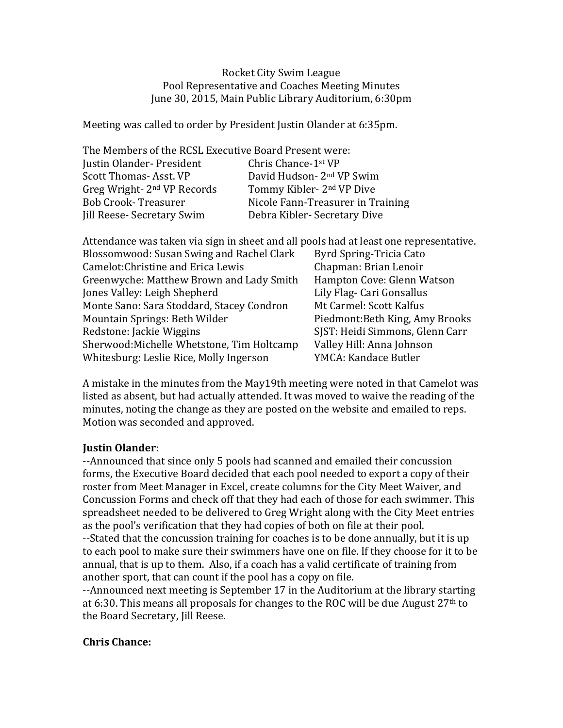Rocket City Swim League Pool Representative and Coaches Meeting Minutes June 30, 2015, Main Public Library Auditorium, 6:30pm

Meeting was called to order by President Justin Olander at 6:35pm.

| The Members of the RCSL Executive Board Present were: |                                       |
|-------------------------------------------------------|---------------------------------------|
| Justin Olander-President                              | Chris Chance-1 <sup>st</sup> VP       |
| <b>Scott Thomas-Asst. VP</b>                          | David Hudson- 2 <sup>nd</sup> VP Swim |
| Greg Wright- 2 <sup>nd</sup> VP Records               | Tommy Kibler- 2 <sup>nd</sup> VP Dive |
| <b>Bob Crook-Treasurer</b>                            | Nicole Fann-Treasurer in Training     |
| Jill Reese-Secretary Swim                             | Debra Kibler-Secretary Dive           |

| Attendance was taken via sign in sheet and all pools had at least one representative. |                                 |
|---------------------------------------------------------------------------------------|---------------------------------|
| Blossomwood: Susan Swing and Rachel Clark                                             | <b>Byrd Spring-Tricia Cato</b>  |
| Camelot: Christine and Erica Lewis                                                    | Chapman: Brian Lenoir           |
| Greenwyche: Matthew Brown and Lady Smith                                              | Hampton Cove: Glenn Watson      |
| Jones Valley: Leigh Shepherd                                                          | Lily Flag- Cari Gonsallus       |
| Monte Sano: Sara Stoddard, Stacey Condron                                             | Mt Carmel: Scott Kalfus         |
| Mountain Springs: Beth Wilder                                                         | Piedmont: Beth King, Amy Brooks |
| Redstone: Jackie Wiggins                                                              | SJST: Heidi Simmons, Glenn Carr |
| Sherwood: Michelle Whetstone, Tim Holtcamp                                            | Valley Hill: Anna Johnson       |
| Whitesburg: Leslie Rice, Molly Ingerson                                               | YMCA: Kandace Butler            |

A mistake in the minutes from the May19th meeting were noted in that Camelot was listed as absent, but had actually attended. It was moved to waive the reading of the minutes, noting the change as they are posted on the website and emailed to reps. Motion was seconded and approved.

### **Justin Olander**:

--Announced that since only 5 pools had scanned and emailed their concussion forms, the Executive Board decided that each pool needed to export a copy of their roster from Meet Manager in Excel, create columns for the City Meet Waiver, and Concussion Forms and check off that they had each of those for each swimmer. This spreadsheet needed to be delivered to Greg Wright along with the City Meet entries as the pool's verification that they had copies of both on file at their pool.

--Stated that the concussion training for coaches is to be done annually, but it is up to each pool to make sure their swimmers have one on file. If they choose for it to be annual, that is up to them. Also, if a coach has a valid certificate of training from another sport, that can count if the pool has a copy on file.

--Announced next meeting is September 17 in the Auditorium at the library starting at 6:30. This means all proposals for changes to the ROC will be due August  $27<sup>th</sup>$  to the Board Secretary, Jill Reese.

### **Chris Chance:**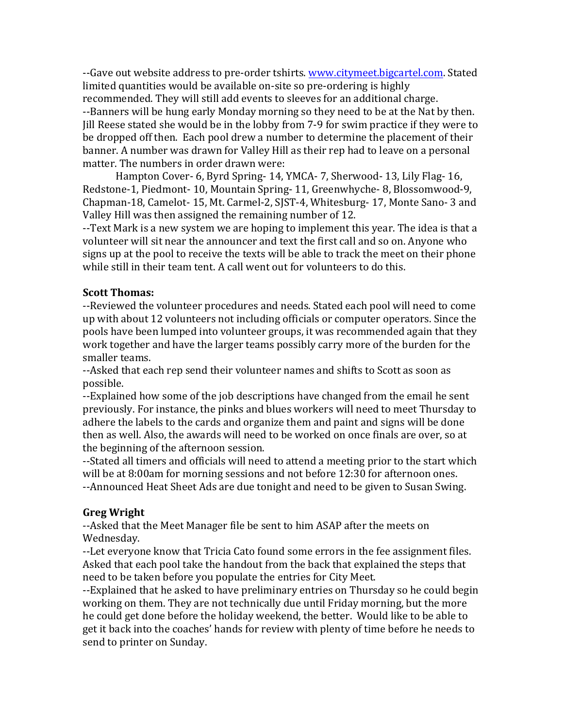--Gave out website address to pre-order tshirts. www.citymeet.bigcartel.com. Stated limited quantities would be available on-site so pre-ordering is highly recommended. They will still add events to sleeves for an additional charge. --Banners will be hung early Monday morning so they need to be at the Nat by then. Jill Reese stated she would be in the lobby from 7-9 for swim practice if they were to be dropped off then. Each pool drew a number to determine the placement of their banner. A number was drawn for Valley Hill as their rep had to leave on a personal matter. The numbers in order drawn were:

Hampton Cover- 6, Byrd Spring- 14, YMCA- 7, Sherwood- 13, Lily Flag- 16, Redstone-1, Piedmont- 10, Mountain Spring- 11, Greenwhyche- 8, Blossomwood-9, Chapman-18, Camelot- 15, Mt. Carmel-2, SJST-4, Whitesburg- 17, Monte Sano- 3 and Valley Hill was then assigned the remaining number of 12.

--Text Mark is a new system we are hoping to implement this year. The idea is that a volunteer will sit near the announcer and text the first call and so on. Anyone who signs up at the pool to receive the texts will be able to track the meet on their phone while still in their team tent. A call went out for volunteers to do this.

#### **Scott Thomas:**

--Reviewed the volunteer procedures and needs. Stated each pool will need to come up with about 12 volunteers not including officials or computer operators. Since the pools have been lumped into volunteer groups, it was recommended again that they work together and have the larger teams possibly carry more of the burden for the smaller teams.

--Asked that each rep send their volunteer names and shifts to Scott as soon as possible. 

--Explained how some of the job descriptions have changed from the email he sent previously. For instance, the pinks and blues workers will need to meet Thursday to adhere the labels to the cards and organize them and paint and signs will be done then as well. Also, the awards will need to be worked on once finals are over, so at the beginning of the afternoon session.

--Stated all timers and officials will need to attend a meeting prior to the start which will be at 8:00am for morning sessions and not before 12:30 for afternoon ones. --Announced Heat Sheet Ads are due tonight and need to be given to Susan Swing.

### **Greg Wright**

--Asked that the Meet Manager file be sent to him ASAP after the meets on Wednesday. 

--Let everyone know that Tricia Cato found some errors in the fee assignment files. Asked that each pool take the handout from the back that explained the steps that need to be taken before you populate the entries for City Meet.

--Explained that he asked to have preliminary entries on Thursday so he could begin working on them. They are not technically due until Friday morning, but the more he could get done before the holiday weekend, the better. Would like to be able to get it back into the coaches' hands for review with plenty of time before he needs to send to printer on Sunday.